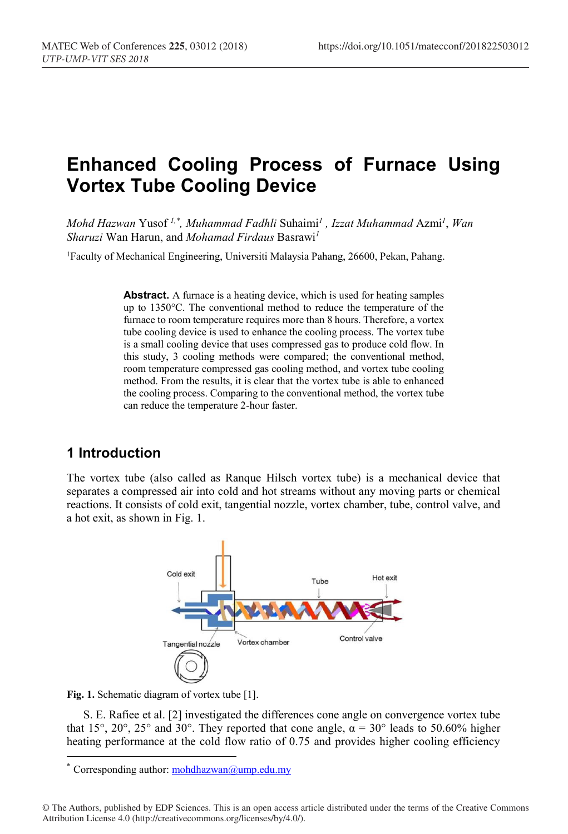# **Enhanced Cooling Process of Furnace Using Vortex Tube Cooling Device**

*Mohd Hazwan* Yusof *1,\* , Muhammad Fadhli* Suhaimi*<sup>1</sup> , Izzat Muhammad* Azmi*<sup>1</sup>* , *Wan Sharuzi* Wan Harun, and *Mohamad Firdaus* Basrawi*<sup>1</sup>*

1Faculty of Mechanical Engineering, Universiti Malaysia Pahang, 26600, Pekan, Pahang.

**Abstract.** A furnace is a heating device, which is used for heating samples up to 1350°C. The conventional method to reduce the temperature of the furnace to room temperature requires more than 8 hours. Therefore, a vortex tube cooling device is used to enhance the cooling process. The vortex tube is a small cooling device that uses compressed gas to produce cold flow. In this study, 3 cooling methods were compared; the conventional method, room temperature compressed gas cooling method, and vortex tube cooling method. From the results, it is clear that the vortex tube is able to enhanced the cooling process. Comparing to the conventional method, the vortex tube can reduce the temperature 2-hour faster.

### **1 Introduction**

The vortex tube (also called as Ranque Hilsch vortex tube) is a mechanical device that separates a compressed air into cold and hot streams without any moving parts or chemical reactions. It consists of cold exit, tangential nozzle, vortex chamber, tube, control valve, and a hot exit, as shown in Fig. 1.



**Fig. 1.** Schematic diagram of vortex tube [1].

S. E. Rafiee et al. [2] investigated the differences cone angle on convergence vortex tube that 15°, 20°, 25° and 30°. They reported that cone angle,  $\alpha = 30^\circ$  leads to 50.60% higher heating performance at the cold flow ratio of 0.75 and provides higher cooling efficiency

Corresponding author: mohdhazwan@ump.edu.my

<sup>©</sup> The Authors, published by EDP Sciences. This is an open access article distributed under the terms of the Creative Commons Attribution License 4.0 (http://creativecommons.org/licenses/by/4.0/).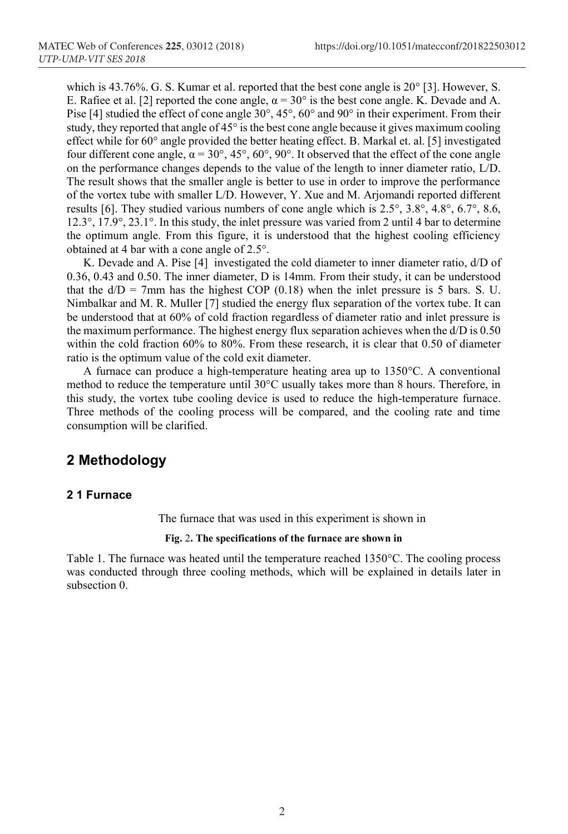which is 43.76%. G. S. Kumar et al. reported that the best cone angle is  $20^{\circ}$  [3]. However, S. E. Rafiee et al. [2] reported the cone angle,  $\alpha = 30^{\circ}$  is the best cone angle. K. Devade and A. Pise [4] studied the effect of cone angle 30°, 45°, 60° and 90° in their experiment. From their study, they reported that angle of 45° is the best cone angle because it gives maximum cooling effect while for 60° angle provided the better heating effect. B. Markal et. al. [5] investigated four different cone angle,  $\alpha = 30^{\circ}$ ,  $45^{\circ}$ ,  $60^{\circ}$ ,  $90^{\circ}$ . It observed that the effect of the cone angle on the performance changes depends to the value of the length to inner diameter ratio, L/D. The result shows that the smaller angle is better to use in order to improve the performance of the vortex tube with smaller L/D. However, Y. Xue and M. Arjomandi reported different results [6]. They studied various numbers of cone angle which is 2.5°, 3.8°, 4.8°, 6.7°, 8.6, 12.3°, 17.9°, 23.1°. In this study, the inlet pressure was varied from 2 until 4 bar to determine the optimum angle. From this figure, it is understood that the highest cooling efficiency obtained at 4 bar with a cone angle of 2.5°.

K. Devade and A. Pise [4] investigated the cold diameter to inner diameter ratio, d/D of 0.36, 0.43 and 0.50. The inner diameter, D is 14mm. From their study, it can be understood that the  $d/D = 7$ mm has the highest COP (0.18) when the inlet pressure is 5 bars. S. U. Nimbalkar and M. R. Muller [7] studied the energy flux separation of the vortex tube. It can be understood that at 60% of cold fraction regardless of diameter ratio and inlet pressure is the maximum performance. The highest energy flux separation achieves when the d/D is 0.50 within the cold fraction 60% to 80%. From these research, it is clear that 0.50 of diameter ratio is the optimum value of the cold exit diameter.

A furnace can produce a high-temperature heating area up to 1350°C. A conventional method to reduce the temperature until 30°C usually takes more than 8 hours. Therefore, in this study, the vortex tube cooling device is used to reduce the high-temperature furnace. Three methods of the cooling process will be compared, and the cooling rate and time consumption will be clarified.

### **2 Methodology**

#### **2 1 Furnace**

The furnace that was used in this experiment is shown in

#### **Fig.** 2**. The specifications of the furnace are shown in**

Table 1. The furnace was heated until the temperature reached 1350°C. The cooling process was conducted through three cooling methods, which will be explained in details later in subsection 0.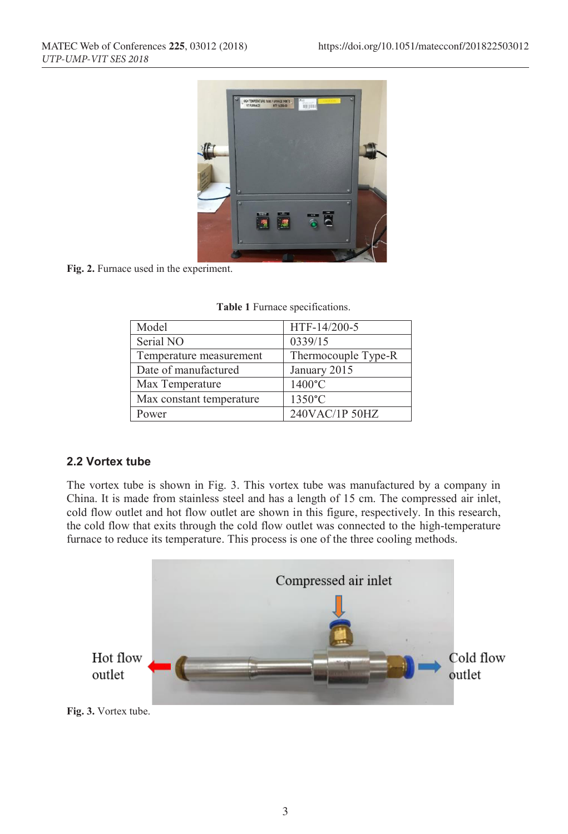

**Fig. 2.** Furnace used in the experiment.

| Model                    | HTF-14/200-5        |
|--------------------------|---------------------|
| Serial NO                | 0339/15             |
| Temperature measurement  | Thermocouple Type-R |
| Date of manufactured     | January 2015        |
| Max Temperature          | 1400°C              |
| Max constant temperature | 1350°C              |
| Power                    | 240VAC/1P 50HZ      |

| <b>Table 1</b> Furnace specifications. |  |
|----------------------------------------|--|
|----------------------------------------|--|

#### **2.2 Vortex tube**

The vortex tube is shown in Fig. 3. This vortex tube was manufactured by a company in China. It is made from stainless steel and has a length of 15 cm. The compressed air inlet, cold flow outlet and hot flow outlet are shown in this figure, respectively. In this research, the cold flow that exits through the cold flow outlet was connected to the high-temperature furnace to reduce its temperature. This process is one of the three cooling methods.

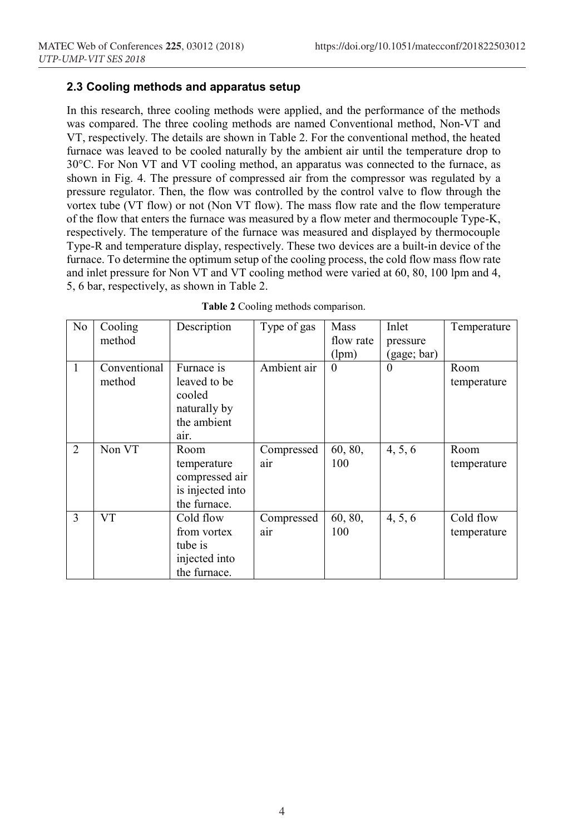#### **2.3 Cooling methods and apparatus setup**

In this research, three cooling methods were applied, and the performance of the methods was compared. The three cooling methods are named Conventional method, Non-VT and VT, respectively. The details are shown in Table 2. For the conventional method, the heated furnace was leaved to be cooled naturally by the ambient air until the temperature drop to 30°C. For Non VT and VT cooling method, an apparatus was connected to the furnace, as shown in Fig. 4. The pressure of compressed air from the compressor was regulated by a pressure regulator. Then, the flow was controlled by the control valve to flow through the vortex tube (VT flow) or not (Non VT flow). The mass flow rate and the flow temperature of the flow that enters the furnace was measured by a flow meter and thermocouple Type-K, respectively. The temperature of the furnace was measured and displayed by thermocouple Type-R and temperature display, respectively. These two devices are a built-in device of the furnace. To determine the optimum setup of the cooling process, the cold flow mass flow rate and inlet pressure for Non VT and VT cooling method were varied at 60, 80, 100 lpm and 4, 5, 6 bar, respectively, as shown in Table 2.

| N <sub>0</sub> | Cooling      | Description      | Type of gas | <b>Mass</b> | Inlet       | Temperature |
|----------------|--------------|------------------|-------------|-------------|-------------|-------------|
|                | method       |                  |             | flow rate   | pressure    |             |
|                |              |                  |             | (lpm)       | (gage; bar) |             |
| $\overline{1}$ | Conventional | Furnace is       | Ambient air | $\theta$    | $\theta$    | Room        |
|                | method       | leaved to be     |             |             |             | temperature |
|                |              | cooled           |             |             |             |             |
|                |              | naturally by     |             |             |             |             |
|                |              | the ambient      |             |             |             |             |
|                |              | air.             |             |             |             |             |
| $\overline{2}$ | Non VT       | Room             | Compressed  | 60, 80,     | 4, 5, 6     | Room        |
|                |              | temperature      | air         | 100         |             | temperature |
|                |              | compressed air   |             |             |             |             |
|                |              | is injected into |             |             |             |             |
|                |              | the furnace.     |             |             |             |             |
| 3              | <b>VT</b>    | Cold flow        | Compressed  | 60, 80,     | 4, 5, 6     | Cold flow   |
|                |              | from vortex      | air         | 100         |             | temperature |
|                |              | tube is          |             |             |             |             |
|                |              | injected into    |             |             |             |             |
|                |              | the furnace.     |             |             |             |             |

|  | Table 2 Cooling methods comparison. |
|--|-------------------------------------|
|  |                                     |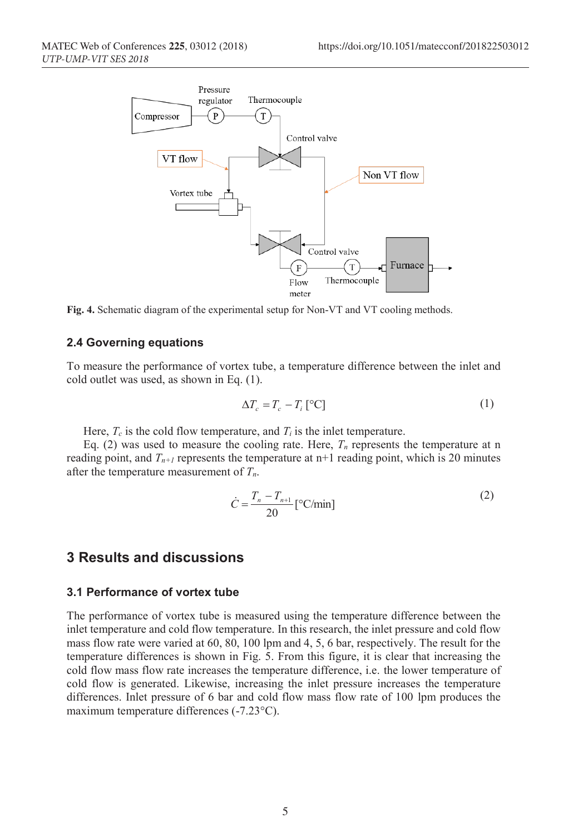

**Fig. 4.** Schematic diagram of the experimental setup for Non-VT and VT cooling methods.

#### **2.4 Governing equations**

To measure the performance of vortex tube, a temperature difference between the inlet and cold outlet was used, as shown in Eq. (1).

$$
\Delta T_c = T_c - T_i \, [^{\circ}C]
$$
 (1)

Here,  $T_c$  is the cold flow temperature, and  $T_i$  is the inlet temperature.

Eq. (2) was used to measure the cooling rate. Here,  $T_n$  represents the temperature at n reading point, and  $T_{n+1}$  represents the temperature at  $n+1$  reading point, which is 20 minutes after the temperature measurement of *Tn*.

$$
\dot{C} = \frac{T_n - T_{n+1}}{20} \left[ \, ^\circ \text{C/min} \right] \tag{2}
$$

### **3 Results and discussions**

#### **3.1 Performance of vortex tube**

The performance of vortex tube is measured using the temperature difference between the inlet temperature and cold flow temperature. In this research, the inlet pressure and cold flow mass flow rate were varied at 60, 80, 100 lpm and 4, 5, 6 bar, respectively. The result for the temperature differences is shown in Fig. 5. From this figure, it is clear that increasing the cold flow mass flow rate increases the temperature difference, i.e. the lower temperature of cold flow is generated. Likewise, increasing the inlet pressure increases the temperature differences. Inlet pressure of 6 bar and cold flow mass flow rate of 100 lpm produces the maximum temperature differences (-7.23°C).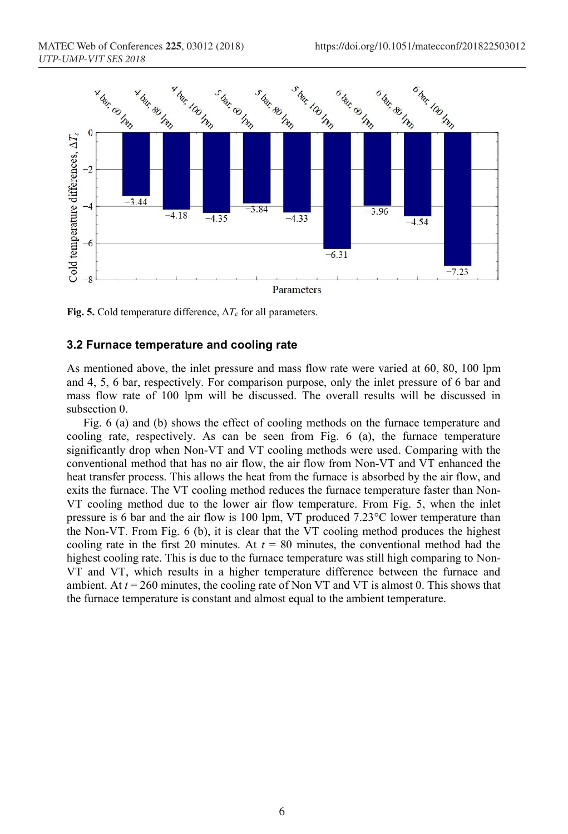

**Fig. 5.** Cold temperature difference,  $\Delta T_c$  for all parameters.

#### **3.2 Furnace temperature and cooling rate**

As mentioned above, the inlet pressure and mass flow rate were varied at 60, 80, 100 lpm and 4, 5, 6 bar, respectively. For comparison purpose, only the inlet pressure of 6 bar and mass flow rate of 100 lpm will be discussed. The overall results will be discussed in subsection 0.

Fig. 6 (a) and (b) shows the effect of cooling methods on the furnace temperature and cooling rate, respectively. As can be seen from Fig. 6 (a), the furnace temperature significantly drop when Non-VT and VT cooling methods were used. Comparing with the conventional method that has no air flow, the air flow from Non-VT and VT enhanced the heat transfer process. This allows the heat from the furnace is absorbed by the air flow, and exits the furnace. The VT cooling method reduces the furnace temperature faster than Non-VT cooling method due to the lower air flow temperature. From Fig. 5, when the inlet pressure is 6 bar and the air flow is 100 lpm, VT produced 7.23°C lower temperature than the Non-VT. From Fig. 6 (b), it is clear that the VT cooling method produces the highest cooling rate in the first 20 minutes. At  $t = 80$  minutes, the conventional method had the highest cooling rate. This is due to the furnace temperature was still high comparing to Non-VT and VT, which results in a higher temperature difference between the furnace and ambient. At *t* = 260 minutes, the cooling rate of Non VT and VT is almost 0. This shows that the furnace temperature is constant and almost equal to the ambient temperature.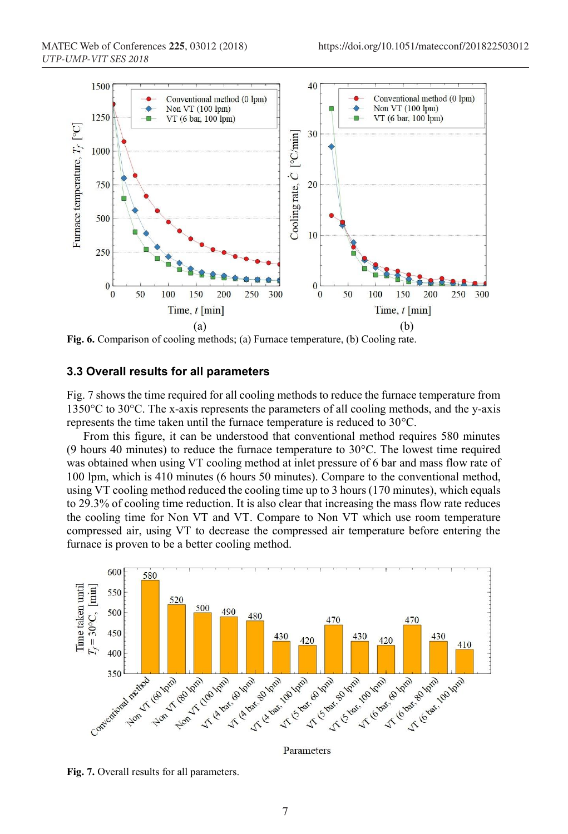

**Fig. 6.** Comparison of cooling methods; (a) Furnace temperature, (b) Cooling rate.

#### **3.3 Overall results for all parameters**

Fig. 7 shows the time required for all cooling methods to reduce the furnace temperature from 1350°C to 30°C. The x-axis represents the parameters of all cooling methods, and the y-axis represents the time taken until the furnace temperature is reduced to 30°C.

From this figure, it can be understood that conventional method requires 580 minutes (9 hours 40 minutes) to reduce the furnace temperature to  $30^{\circ}$ C. The lowest time required was obtained when using VT cooling method at inlet pressure of 6 bar and mass flow rate of 100 lpm, which is 410 minutes (6 hours 50 minutes). Compare to the conventional method, using VT cooling method reduced the cooling time up to 3 hours (170 minutes), which equals to 29.3% of cooling time reduction. It is also clear that increasing the mass flow rate reduces the cooling time for Non VT and VT. Compare to Non VT which use room temperature compressed air, using VT to decrease the compressed air temperature before entering the furnace is proven to be a better cooling method.



Parameters

**Fig. 7.** Overall results for all parameters.